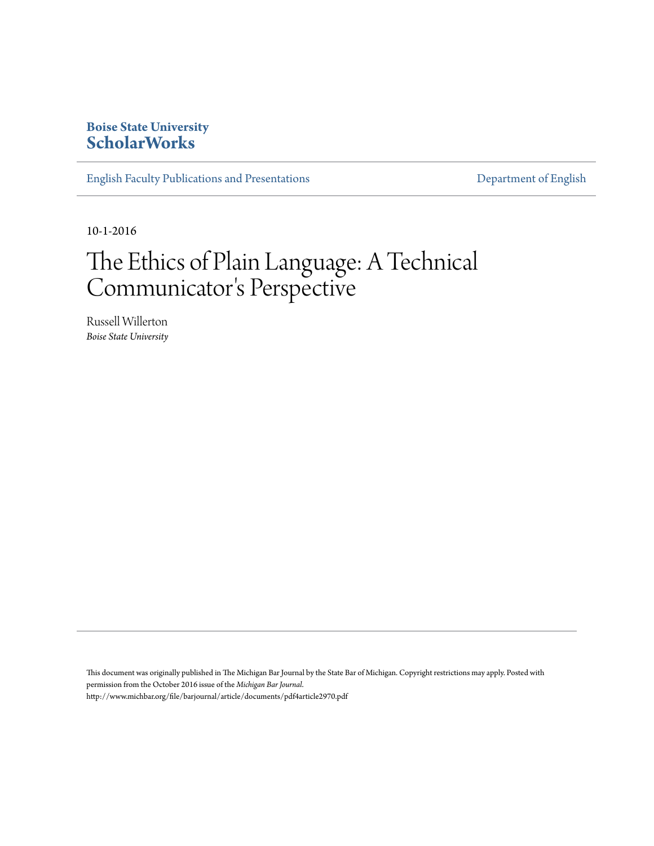## **Boise State University [ScholarWorks](https://scholarworks.boisestate.edu)**

[English Faculty Publications and Presentations](https://scholarworks.boisestate.edu/english_facpubs) **[Department of English](https://scholarworks.boisestate.edu/english)** 

10-1-2016

## The Ethics of Plain Language: A Technical Communicator 's Perspective

Russell Willerton *Boise State University*

This document was originally published in The Michigan Bar Journal by the State Bar of Michigan. Copyright restrictions may apply. Posted with permission from the October 2016 issue of the *Michigan Bar Journal*. http://www.michbar.org/file/barjournal/article/documents/pdf4article2970.pdf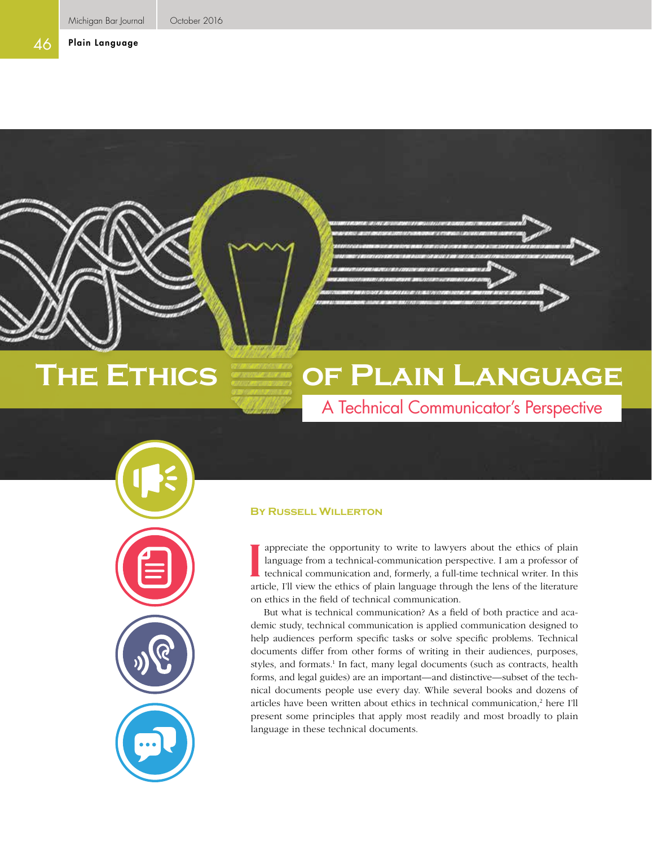## Plain Language

# **The Ethics of Plain Language**

A Technical Communicator's Perspective

## **By Russell Willerton**

appreciate the opportunity to write to lawyers about the ethics of plain language from a technical-communication perspective. I am a professor of technical communication and, formerly, a full-time technical writer. In this I appreciate the opportunity to write to lawyers about the ethics of plain language from a technical-communication perspective. I am a professor of technical communication and, formerly, a full-time technical writer. In th on ethics in the field of technical communication.

But what is technical communication? As a field of both practice and academic study, technical communication is applied communication designed to help audiences perform specific tasks or solve specific problems. Technical documents differ from other forms of writing in their audiences, purposes, styles, and formats.<sup>1</sup> In fact, many legal documents (such as contracts, health forms, and legal guides) are an important—and distinctive—subset of the technical documents people use every day. While several books and dozens of articles have been written about ethics in technical communication,<sup>2</sup> here I'll present some principles that apply most readily and most broadly to plain language in these technical documents.

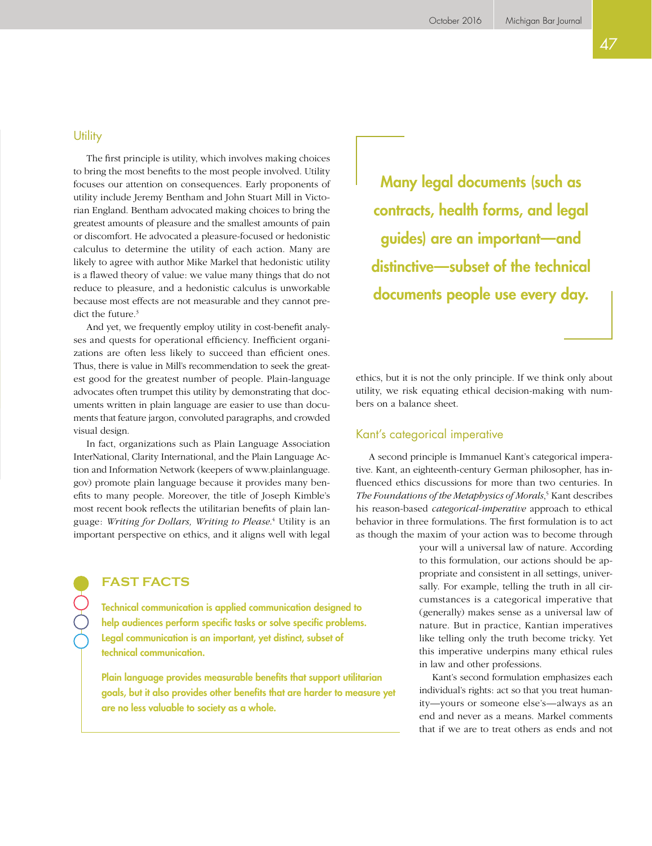The first principle is utility, which involves making choices to bring the most benefits to the most people involved. Utility focuses our attention on consequences. Early proponents of utility include Jeremy Bentham and John Stuart Mill in Victorian England. Bentham advocated making choices to bring the greatest amounts of pleasure and the smallest amounts of pain or discomfort. He advocated a pleasure-focused or hedonistic calculus to determine the utility of each action. Many are likely to agree with author Mike Markel that hedonistic utility is a flawed theory of value: we value many things that do not reduce to pleasure, and a hedonistic calculus is unworkable because most effects are not measurable and they cannot predict the future.<sup>3</sup>

And yet, we frequently employ utility in cost-benefit analyses and quests for operational efficiency. Inefficient organizations are often less likely to succeed than efficient ones. Thus, there is value in Mill's recommendation to seek the greatest good for the greatest number of people. Plain-language advocates often trumpet this utility by demonstrating that documents written in plain language are easier to use than documents that feature jargon, convoluted paragraphs, and crowded visual design.

In fact, organizations such as Plain Language Association InterNational, Clarity International, and the Plain Language Action and Information Network (keepers of [www.plainlanguage.](www.plainlanguage.gov) [gov\)](www.plainlanguage.gov) promote plain language because it provides many benefits to many people. Moreover, the title of Joseph Kimble's most recent book reflects the utilitarian benefits of plain language: *Writing for Dollars, Writing to Please*. 4 Utility is an important perspective on ethics, and it aligns well with legal

**FAST FACTS**

Technical communication is applied communication designed to help audiences perform specific tasks or solve specific problems. Legal communication is an important, yet distinct, subset of technical communication.

Plain language provides measurable benefits that support utilitarian goals, but it also provides other benefits that are harder to measure yet are no less valuable to society as a whole.

Many legal documents (such as contracts, health forms, and legal guides) are an important—and distinctive—subset of the technical documents people use every day.

ethics, but it is not the only principle. If we think only about utility, we risk equating ethical decision-making with numbers on a balance sheet.

## Kant's categorical imperative

A second principle is Immanuel Kant's categorical imperative. Kant, an eighteenth-century German philosopher, has influenced ethics discussions for more than two centuries. In *The Foundations of the Metaphysics of Morals*, 5 Kant describes his reason-based *categorical-imperative* approach to ethical behavior in three formulations. The first formulation is to act as though the maxim of your action was to become through

> your will a universal law of nature. According to this formulation, our actions should be appropriate and consistent in all settings, universally. For example, telling the truth in all circumstances is a categorical imperative that (generally) makes sense as a universal law of nature. But in practice, Kantian imperatives like telling only the truth become tricky. Yet this imperative underpins many ethical rules in law and other professions.

> Kant's second formulation emphasizes each individual's rights: act so that you treat humanity—yours or someone else's—always as an end and never as a means. Markel comments that if we are to treat others as ends and not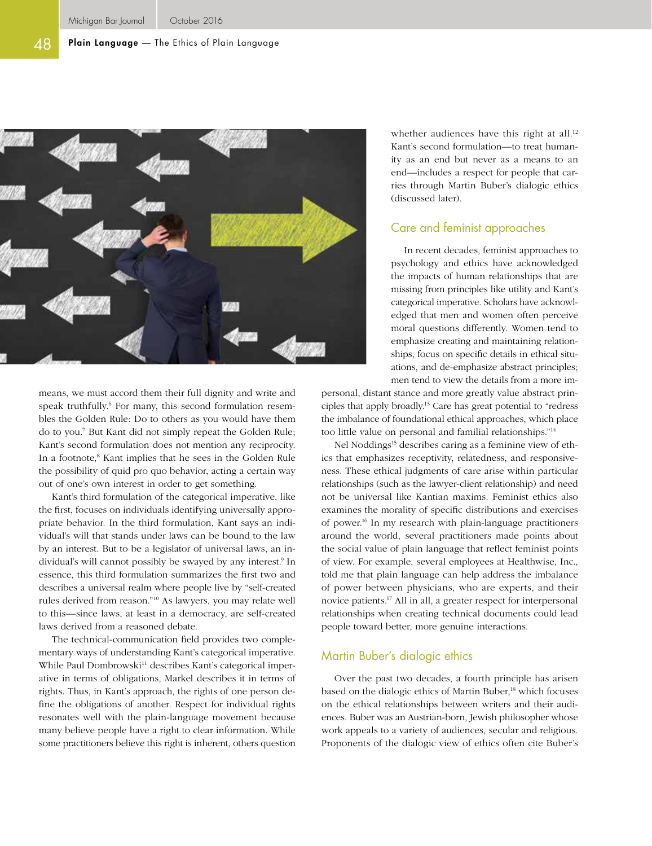#### 48 Plain Language - The Ethics of Plain Language



means, we must accord them their full dignity and write and speak truthfully.<sup>6</sup> For many, this second formulation resembles the Golden Rule: Do to others as you would have them do to you.7 But Kant did not simply repeat the Golden Rule; Kant's second formulation does not mention any reciprocity. In a footnote,<sup>8</sup> Kant implies that he sees in the Golden Rule the possibility of quid pro quo behavior, acting a certain way out of one's own interest in order to get something.

Kant's third formulation of the categorical imperative, like the first, focuses on individuals identifying universally appropriate behavior. In the third formulation, Kant says an individual's will that stands under laws can be bound to the law by an interest. But to be a legislator of universal laws, an individual's will cannot possibly be swayed by any interest.9 In essence, this third formulation summarizes the first two and describes a universal realm where people live by "self-created rules derived from reason."10 As lawyers, you may relate well to this—since laws, at least in a democracy, are self-created laws derived from a reasoned debate.

The technical-communication field provides two complementary ways of understanding Kant's categorical imperative. While Paul Dombrowski<sup>11</sup> describes Kant's categorical imperative in terms of obligations, Markel describes it in terms of rights. Thus, in Kant's approach, the rights of one person define the obligations of another. Respect for individual rights resonates well with the plain-language movement because many believe people have a right to clear information. While some practitioners believe this right is inherent, others question whether audiences have this right at all.<sup>12</sup> Kant's second formulation—to treat humanity as an end but never as a means to an end—includes a respect for people that carries through Martin Buber's dialogic ethics (discussed later).

## Care and feminist approaches

In recent decades, feminist approaches to psychology and ethics have acknowledged the impacts of human relationships that are missing from principles like utility and Kant's categorical imperative. Scholars have acknowledged that men and women often perceive moral questions differently. Women tend to emphasize creating and maintaining relationships, focus on specific details in ethical situations, and de-emphasize abstract principles; men tend to view the details from a more im-

personal, distant stance and more greatly value abstract principles that apply broadly.13 Care has great potential to "redress the imbalance of foundational ethical approaches, which place too little value on personal and familial relationships."14

Nel Noddings<sup>15</sup> describes caring as a feminine view of ethics that emphasizes receptivity, relatedness, and responsiveness. These ethical judgments of care arise within particular relationships (such as the lawyer-client relationship) and need not be universal like Kantian maxims. Feminist ethics also examines the morality of specific distributions and exercises of power.16 In my research with plain-language practitioners around the world, several practitioners made points about the social value of plain language that reflect feminist points of view. For example, several employees at Healthwise, Inc., told me that plain language can help address the imbalance of power between physicians, who are experts, and their novice patients.17 All in all, a greater respect for interpersonal relationships when creating technical documents could lead people toward better, more genuine interactions.

## Martin Buber's dialogic ethics

Over the past two decades, a fourth principle has arisen based on the dialogic ethics of Martin Buber,<sup>18</sup> which focuses on the ethical relationships between writers and their audiences. Buber was an Austrian-born, Jewish philosopher whose work appeals to a variety of audiences, secular and religious. Proponents of the dialogic view of ethics often cite Buber's